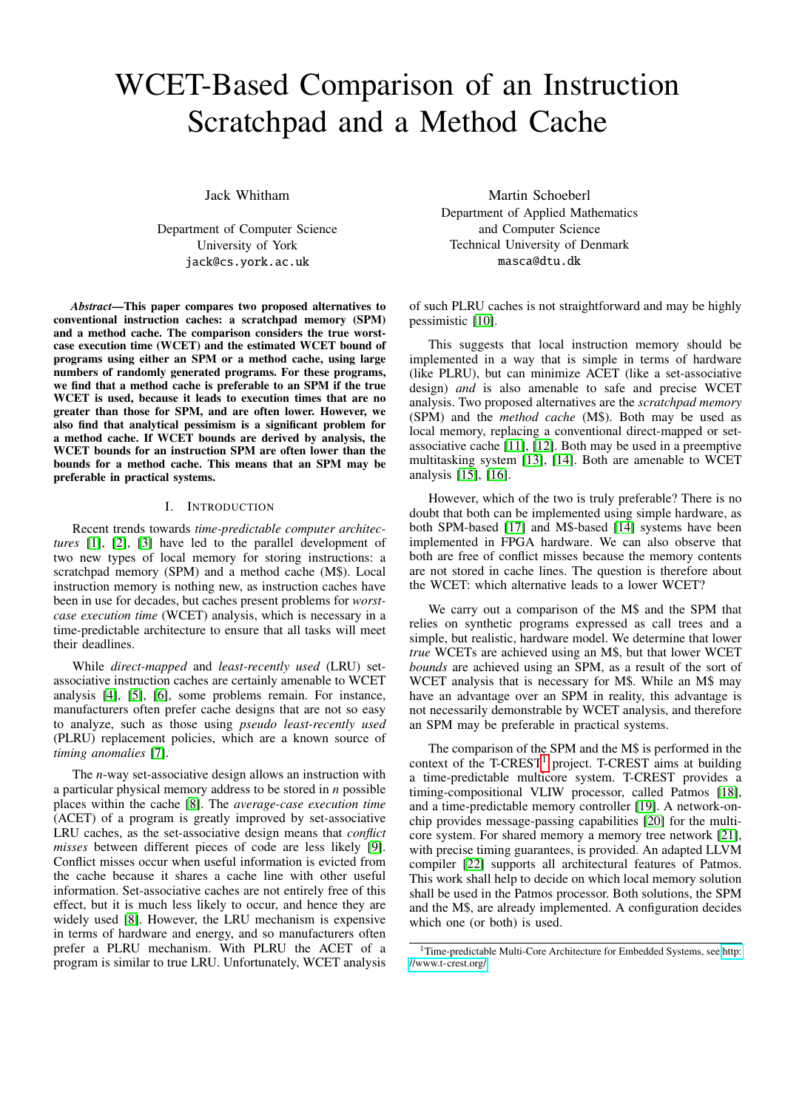# WCET-Based Comparison of an Instruction Scratchpad and a Method Cache

Jack Whitham

Department of Computer Science University of York jack@cs.york.ac.uk

*Abstract*—This paper compares two proposed alternatives to conventional instruction caches: a scratchpad memory (SPM) and a method cache. The comparison considers the true worstcase execution time (WCET) and the estimated WCET bound of programs using either an SPM or a method cache, using large numbers of randomly generated programs. For these programs, we find that a method cache is preferable to an SPM if the true WCET is used, because it leads to execution times that are no greater than those for SPM, and are often lower. However, we also find that analytical pessimism is a significant problem for a method cache. If WCET bounds are derived by analysis, the WCET bounds for an instruction SPM are often lower than the bounds for a method cache. This means that an SPM may be preferable in practical systems.

## I. INTRODUCTION

Recent trends towards *time-predictable computer architectures* [\[1\]](#page-6-0), [\[2\]](#page-6-1), [\[3\]](#page-6-2) have led to the parallel development of two new types of local memory for storing instructions: a scratchpad memory (SPM) and a method cache (M\$). Local instruction memory is nothing new, as instruction caches have been in use for decades, but caches present problems for *worstcase execution time* (WCET) analysis, which is necessary in a time-predictable architecture to ensure that all tasks will meet their deadlines.

While *direct-mapped* and *least-recently used* (LRU) setassociative instruction caches are certainly amenable to WCET analysis [\[4\]](#page-6-3), [\[5\]](#page-6-4), [\[6\]](#page-6-5), some problems remain. For instance, manufacturers often prefer cache designs that are not so easy to analyze, such as those using *pseudo least-recently used* (PLRU) replacement policies, which are a known source of *timing anomalies* [\[7\]](#page-6-6).

The *n*-way set-associative design allows an instruction with a particular physical memory address to be stored in *n* possible places within the cache [\[8\]](#page-6-7). The *average-case execution time* (ACET) of a program is greatly improved by set-associative LRU caches, as the set-associative design means that *conflict misses* between different pieces of code are less likely [\[9\]](#page-6-8). Conflict misses occur when useful information is evicted from the cache because it shares a cache line with other useful information. Set-associative caches are not entirely free of this effect, but it is much less likely to occur, and hence they are widely used [\[8\]](#page-6-7). However, the LRU mechanism is expensive in terms of hardware and energy, and so manufacturers often prefer a PLRU mechanism. With PLRU the ACET of a program is similar to true LRU. Unfortunately, WCET analysis

Martin Schoeberl Department of Applied Mathematics and Computer Science Technical University of Denmark masca@dtu.dk

of such PLRU caches is not straightforward and may be highly pessimistic [\[10\]](#page-6-9).

This suggests that local instruction memory should be implemented in a way that is simple in terms of hardware (like PLRU), but can minimize ACET (like a set-associative design) *and* is also amenable to safe and precise WCET analysis. Two proposed alternatives are the *scratchpad memory* (SPM) and the *method cache* (M\$). Both may be used as local memory, replacing a conventional direct-mapped or setassociative cache [\[11\]](#page-6-10), [\[12\]](#page-6-11). Both may be used in a preemptive multitasking system [\[13\]](#page-7-0), [\[14\]](#page-7-1). Both are amenable to WCET analysis [\[15\]](#page-7-2), [\[16\]](#page-7-3).

However, which of the two is truly preferable? There is no doubt that both can be implemented using simple hardware, as both SPM-based [\[17\]](#page-7-4) and M\$-based [\[14\]](#page-7-1) systems have been implemented in FPGA hardware. We can also observe that both are free of conflict misses because the memory contents are not stored in cache lines. The question is therefore about the WCET: which alternative leads to a lower WCET?

We carry out a comparison of the M\$ and the SPM that relies on synthetic programs expressed as call trees and a simple, but realistic, hardware model. We determine that lower *true* WCETs are achieved using an M\$, but that lower WCET *bounds* are achieved using an SPM, as a result of the sort of WCET analysis that is necessary for M\$. While an M\$ may have an advantage over an SPM in reality, this advantage is not necessarily demonstrable by WCET analysis, and therefore an SPM may be preferable in practical systems.

The comparison of the SPM and the M\$ is performed in the context of the T-CREST<sup>[1](#page-0-0)</sup> project. T-CREST aims at building a time-predictable multicore system. T-CREST provides a timing-compositional VLIW processor, called Patmos [\[18\]](#page-7-5), and a time-predictable memory controller [\[19\]](#page-7-6). A network-onchip provides message-passing capabilities [\[20\]](#page-7-7) for the multicore system. For shared memory a memory tree network [\[21\]](#page-7-8), with precise timing guarantees, is provided. An adapted LLVM compiler [\[22\]](#page-7-9) supports all architectural features of Patmos. This work shall help to decide on which local memory solution shall be used in the Patmos processor. Both solutions, the SPM and the M\$, are already implemented. A configuration decides which one (or both) is used.

<span id="page-0-0"></span><sup>&</sup>lt;sup>1</sup>Time-predictable Multi-Core Architecture for Embedded Systems, see [http:](http://www.t-crest.org/) [//www.t-crest.org/](http://www.t-crest.org/)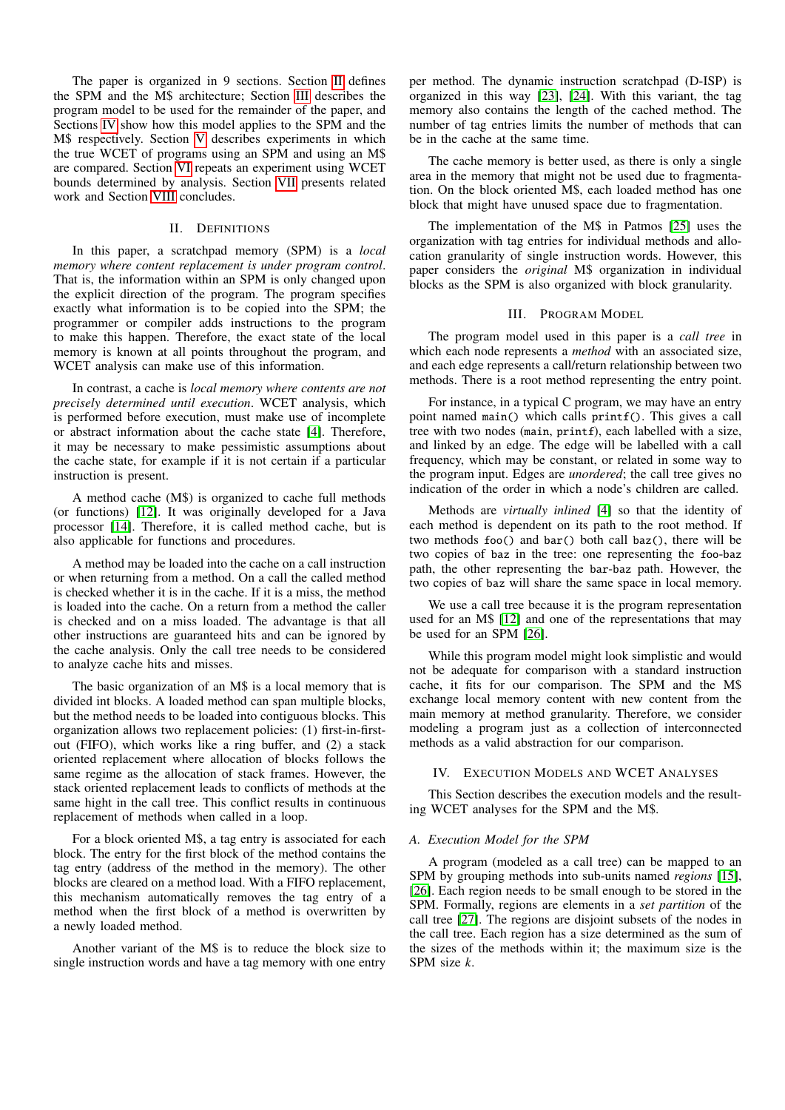The paper is organized in 9 sections. Section [II](#page-1-0) defines the SPM and the M\$ architecture; Section [III](#page-1-1) describes the program model to be used for the remainder of the paper, and Sections [IV](#page-1-2) show how this model applies to the SPM and the M\$ respectively. Section [V](#page-2-0) describes experiments in which the true WCET of programs using an SPM and using an M\$ are compared. Section [VI](#page-5-0) repeats an experiment using WCET bounds determined by analysis. Section [VII](#page-6-12) presents related work and Section [VIII](#page-6-13) concludes.

## II. DEFINITIONS

<span id="page-1-0"></span>In this paper, a scratchpad memory (SPM) is a *local memory where content replacement is under program control*. That is, the information within an SPM is only changed upon the explicit direction of the program. The program specifies exactly what information is to be copied into the SPM; the programmer or compiler adds instructions to the program to make this happen. Therefore, the exact state of the local memory is known at all points throughout the program, and WCET analysis can make use of this information.

In contrast, a cache is *local memory where contents are not precisely determined until execution*. WCET analysis, which is performed before execution, must make use of incomplete or abstract information about the cache state [\[4\]](#page-6-3). Therefore, it may be necessary to make pessimistic assumptions about the cache state, for example if it is not certain if a particular instruction is present.

A method cache (M\$) is organized to cache full methods (or functions) [\[12\]](#page-6-11). It was originally developed for a Java processor [\[14\]](#page-7-1). Therefore, it is called method cache, but is also applicable for functions and procedures.

A method may be loaded into the cache on a call instruction or when returning from a method. On a call the called method is checked whether it is in the cache. If it is a miss, the method is loaded into the cache. On a return from a method the caller is checked and on a miss loaded. The advantage is that all other instructions are guaranteed hits and can be ignored by the cache analysis. Only the call tree needs to be considered to analyze cache hits and misses.

The basic organization of an M\$ is a local memory that is divided int blocks. A loaded method can span multiple blocks, but the method needs to be loaded into contiguous blocks. This organization allows two replacement policies: (1) first-in-firstout (FIFO), which works like a ring buffer, and (2) a stack oriented replacement where allocation of blocks follows the same regime as the allocation of stack frames. However, the stack oriented replacement leads to conflicts of methods at the same hight in the call tree. This conflict results in continuous replacement of methods when called in a loop.

For a block oriented M\$, a tag entry is associated for each block. The entry for the first block of the method contains the tag entry (address of the method in the memory). The other blocks are cleared on a method load. With a FIFO replacement, this mechanism automatically removes the tag entry of a method when the first block of a method is overwritten by a newly loaded method.

Another variant of the M\$ is to reduce the block size to single instruction words and have a tag memory with one entry

per method. The dynamic instruction scratchpad (D-ISP) is organized in this way [\[23\]](#page-7-10), [\[24\]](#page-7-11). With this variant, the tag memory also contains the length of the cached method. The number of tag entries limits the number of methods that can be in the cache at the same time.

The cache memory is better used, as there is only a single area in the memory that might not be used due to fragmentation. On the block oriented M\$, each loaded method has one block that might have unused space due to fragmentation.

The implementation of the M\$ in Patmos [\[25\]](#page-7-12) uses the organization with tag entries for individual methods and allocation granularity of single instruction words. However, this paper considers the *original* M\$ organization in individual blocks as the SPM is also organized with block granularity.

## III. PROGRAM MODEL

<span id="page-1-1"></span>The program model used in this paper is a *call tree* in which each node represents a *method* with an associated size, and each edge represents a call/return relationship between two methods. There is a root method representing the entry point.

For instance, in a typical C program, we may have an entry point named main() which calls printf(). This gives a call tree with two nodes (main, printf), each labelled with a size, and linked by an edge. The edge will be labelled with a call frequency, which may be constant, or related in some way to the program input. Edges are *unordered*; the call tree gives no indication of the order in which a node's children are called.

Methods are *virtually inlined* [\[4\]](#page-6-3) so that the identity of each method is dependent on its path to the root method. If two methods foo() and bar() both call baz(), there will be two copies of baz in the tree: one representing the foo-baz path, the other representing the bar-baz path. However, the two copies of baz will share the same space in local memory.

We use a call tree because it is the program representation used for an M\$ [\[12\]](#page-6-11) and one of the representations that may be used for an SPM [\[26\]](#page-7-13).

While this program model might look simplistic and would not be adequate for comparison with a standard instruction cache, it fits for our comparison. The SPM and the M\$ exchange local memory content with new content from the main memory at method granularity. Therefore, we consider modeling a program just as a collection of interconnected methods as a valid abstraction for our comparison.

## <span id="page-1-2"></span>IV. EXECUTION MODELS AND WCET ANALYSES

This Section describes the execution models and the resulting WCET analyses for the SPM and the M\$.

## *A. Execution Model for the SPM*

A program (modeled as a call tree) can be mapped to an SPM by grouping methods into sub-units named *regions* [\[15\]](#page-7-2), [\[26\]](#page-7-13). Each region needs to be small enough to be stored in the SPM. Formally, regions are elements in a *set partition* of the call tree [\[27\]](#page-7-14). The regions are disjoint subsets of the nodes in the call tree. Each region has a size determined as the sum of the sizes of the methods within it; the maximum size is the SPM size *k*.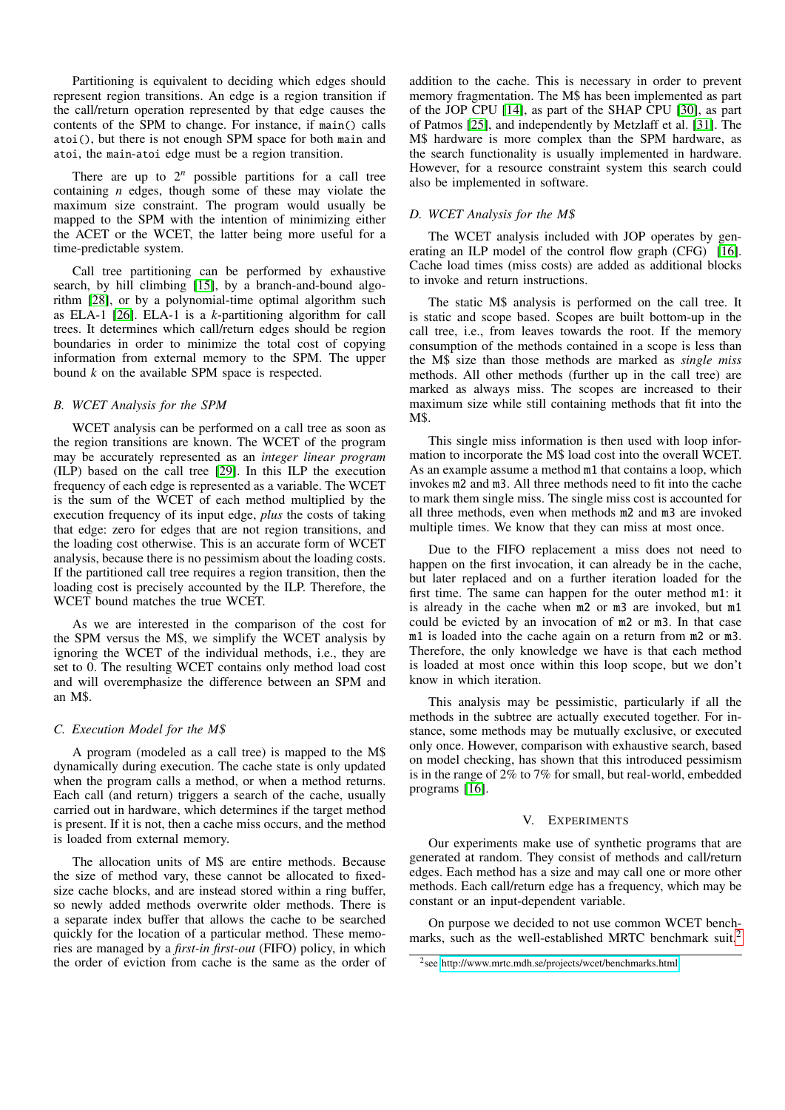Partitioning is equivalent to deciding which edges should represent region transitions. An edge is a region transition if the call/return operation represented by that edge causes the contents of the SPM to change. For instance, if main() calls atoi(), but there is not enough SPM space for both main and atoi, the main-atoi edge must be a region transition.

There are up to  $2^n$  possible partitions for a call tree containing *n* edges, though some of these may violate the maximum size constraint. The program would usually be mapped to the SPM with the intention of minimizing either the ACET or the WCET, the latter being more useful for a time-predictable system.

Call tree partitioning can be performed by exhaustive search, by hill climbing [\[15\]](#page-7-2), by a branch-and-bound algorithm [\[28\]](#page-7-15), or by a polynomial-time optimal algorithm such as ELA-1 [\[26\]](#page-7-13). ELA-1 is a *k*-partitioning algorithm for call trees. It determines which call/return edges should be region boundaries in order to minimize the total cost of copying information from external memory to the SPM. The upper bound *k* on the available SPM space is respected.

## *B. WCET Analysis for the SPM*

WCET analysis can be performed on a call tree as soon as the region transitions are known. The WCET of the program may be accurately represented as an *integer linear program* (ILP) based on the call tree [\[29\]](#page-7-16). In this ILP the execution frequency of each edge is represented as a variable. The WCET is the sum of the WCET of each method multiplied by the execution frequency of its input edge, *plus* the costs of taking that edge: zero for edges that are not region transitions, and the loading cost otherwise. This is an accurate form of WCET analysis, because there is no pessimism about the loading costs. If the partitioned call tree requires a region transition, then the loading cost is precisely accounted by the ILP. Therefore, the WCET bound matches the true WCET.

As we are interested in the comparison of the cost for the SPM versus the M\$, we simplify the WCET analysis by ignoring the WCET of the individual methods, i.e., they are set to 0. The resulting WCET contains only method load cost and will overemphasize the difference between an SPM and an M\$.

## *C. Execution Model for the M*\$

A program (modeled as a call tree) is mapped to the M\$ dynamically during execution. The cache state is only updated when the program calls a method, or when a method returns. Each call (and return) triggers a search of the cache, usually carried out in hardware, which determines if the target method is present. If it is not, then a cache miss occurs, and the method is loaded from external memory.

The allocation units of M\$ are entire methods. Because the size of method vary, these cannot be allocated to fixedsize cache blocks, and are instead stored within a ring buffer, so newly added methods overwrite older methods. There is a separate index buffer that allows the cache to be searched quickly for the location of a particular method. These memories are managed by a *first-in first-out* (FIFO) policy, in which the order of eviction from cache is the same as the order of

addition to the cache. This is necessary in order to prevent memory fragmentation. The M\$ has been implemented as part of the JOP CPU [\[14\]](#page-7-1), as part of the SHAP CPU [\[30\]](#page-7-17), as part of Patmos [\[25\]](#page-7-12), and independently by Metzlaff et al. [\[31\]](#page-7-18). The M\$ hardware is more complex than the SPM hardware, as the search functionality is usually implemented in hardware. However, for a resource constraint system this search could also be implemented in software.

## <span id="page-2-2"></span>*D. WCET Analysis for the M*\$

The WCET analysis included with JOP operates by generating an ILP model of the control flow graph (CFG) [\[16\]](#page-7-3). Cache load times (miss costs) are added as additional blocks to invoke and return instructions.

The static M\$ analysis is performed on the call tree. It is static and scope based. Scopes are built bottom-up in the call tree, i.e., from leaves towards the root. If the memory consumption of the methods contained in a scope is less than the M\$ size than those methods are marked as *single miss* methods. All other methods (further up in the call tree) are marked as always miss. The scopes are increased to their maximum size while still containing methods that fit into the M\$.

This single miss information is then used with loop information to incorporate the M\$ load cost into the overall WCET. As an example assume a method m1 that contains a loop, which invokes m2 and m3. All three methods need to fit into the cache to mark them single miss. The single miss cost is accounted for all three methods, even when methods m2 and m3 are invoked multiple times. We know that they can miss at most once.

Due to the FIFO replacement a miss does not need to happen on the first invocation, it can already be in the cache, but later replaced and on a further iteration loaded for the first time. The same can happen for the outer method m1: it is already in the cache when m2 or m3 are invoked, but m1 could be evicted by an invocation of m2 or m3. In that case m1 is loaded into the cache again on a return from m2 or m3. Therefore, the only knowledge we have is that each method is loaded at most once within this loop scope, but we don't know in which iteration.

This analysis may be pessimistic, particularly if all the methods in the subtree are actually executed together. For instance, some methods may be mutually exclusive, or executed only once. However, comparison with exhaustive search, based on model checking, has shown that this introduced pessimism is in the range of 2% to 7% for small, but real-world, embedded programs [\[16\]](#page-7-3).

#### V. EXPERIMENTS

<span id="page-2-0"></span>Our experiments make use of synthetic programs that are generated at random. They consist of methods and call/return edges. Each method has a size and may call one or more other methods. Each call/return edge has a frequency, which may be constant or an input-dependent variable.

On purpose we decided to not use common WCET benchmarks, such as the well-established MRTC benchmark suit.[2](#page-2-1)

<span id="page-2-1"></span><sup>2</sup> see<http://www.mrtc.mdh.se/projects/wcet/benchmarks.html>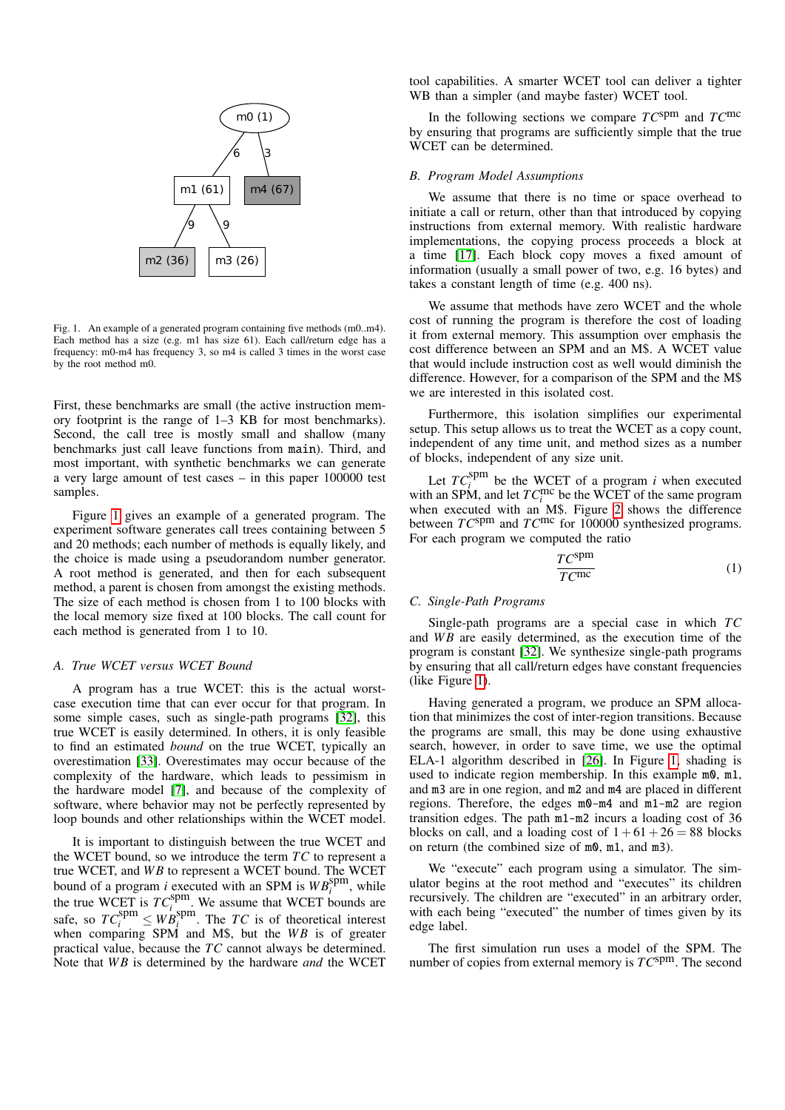

<span id="page-3-0"></span>Fig. 1. An example of a generated program containing five methods (m0..m4). Each method has a size (e.g. m1 has size 61). Each call/return edge has a frequency: m0-m4 has frequency 3, so m4 is called 3 times in the worst case by the root method m0.

First, these benchmarks are small (the active instruction memory footprint is the range of 1–3 KB for most benchmarks). Second, the call tree is mostly small and shallow (many benchmarks just call leave functions from main). Third, and most important, with synthetic benchmarks we can generate a very large amount of test cases – in this paper 100000 test samples.

Figure [1](#page-3-0) gives an example of a generated program. The experiment software generates call trees containing between 5 and 20 methods; each number of methods is equally likely, and the choice is made using a pseudorandom number generator. A root method is generated, and then for each subsequent method, a parent is chosen from amongst the existing methods. The size of each method is chosen from 1 to 100 blocks with the local memory size fixed at 100 blocks. The call count for each method is generated from 1 to 10.

#### *A. True WCET versus WCET Bound*

A program has a true WCET: this is the actual worstcase execution time that can ever occur for that program. In some simple cases, such as single-path programs [\[32\]](#page-7-19), this true WCET is easily determined. In others, it is only feasible to find an estimated *bound* on the true WCET, typically an overestimation [\[33\]](#page-7-20). Overestimates may occur because of the complexity of the hardware, which leads to pessimism in the hardware model [\[7\]](#page-6-6), and because of the complexity of software, where behavior may not be perfectly represented by loop bounds and other relationships within the WCET model.

It is important to distinguish between the true WCET and the WCET bound, so we introduce the term *TC* to represent a true WCET, and WB to represent a WCET bound. The WCET bound of a program *i* executed with an SPM is  $WB_i^{\text{spm}}$ , while the true WCET is  $TC_i^{spm}$ . We assume that WCET bounds are safe, so  $TC_i^{spm} \leq WB_i^{spm}$ . The *TC* is of theoretical interest when comparing SPM and M\$, but the WB is of greater practical value, because the *TC* cannot always be determined. Note that *WB* is determined by the hardware *and* the WCET

tool capabilities. A smarter WCET tool can deliver a tighter WB than a simpler (and maybe faster) WCET tool.

In the following sections we compare *TC*spm and *TC*mc by ensuring that programs are sufficiently simple that the true WCET can be determined.

#### *B. Program Model Assumptions*

We assume that there is no time or space overhead to initiate a call or return, other than that introduced by copying instructions from external memory. With realistic hardware implementations, the copying process proceeds a block at a time [\[17\]](#page-7-4). Each block copy moves a fixed amount of information (usually a small power of two, e.g. 16 bytes) and takes a constant length of time (e.g. 400 ns).

We assume that methods have zero WCET and the whole cost of running the program is therefore the cost of loading it from external memory. This assumption over emphasis the cost difference between an SPM and an M\$. A WCET value that would include instruction cost as well would diminish the difference. However, for a comparison of the SPM and the M\$ we are interested in this isolated cost.

Furthermore, this isolation simplifies our experimental setup. This setup allows us to treat the WCET as a copy count, independent of any time unit, and method sizes as a number of blocks, independent of any size unit.

Let  $TC_i^{\text{spm}}$  be the WCET of a program *i* when executed with an SPM, and let  $TC_i^{\text{mc}}$  be the WCET of the same program when executed with an M\$. Figure [2](#page-4-0) shows the difference between *TC*spm and *TC*mc for 100000 synthesized programs. For each program we computed the ratio

$$
\frac{TC^{\text{spm}}}{TC^{\text{mc}}} \tag{1}
$$

#### *C. Single-Path Programs*

Single-path programs are a special case in which *TC* and *WB* are easily determined, as the execution time of the program is constant [\[32\]](#page-7-19). We synthesize single-path programs by ensuring that all call/return edges have constant frequencies (like Figure [1\)](#page-3-0).

Having generated a program, we produce an SPM allocation that minimizes the cost of inter-region transitions. Because the programs are small, this may be done using exhaustive search, however, in order to save time, we use the optimal ELA-1 algorithm described in [\[26\]](#page-7-13). In Figure [1,](#page-3-0) shading is used to indicate region membership. In this example  $m0$ ,  $m1$ , and m3 are in one region, and m2 and m4 are placed in different regions. Therefore, the edges m0-m4 and m1-m2 are region transition edges. The path m1-m2 incurs a loading cost of 36 blocks on call, and a loading cost of  $1+61+26 = 88$  blocks on return (the combined size of m0, m1, and m3).

We "execute" each program using a simulator. The simulator begins at the root method and "executes" its children recursively. The children are "executed" in an arbitrary order, with each being "executed" the number of times given by its edge label.

The first simulation run uses a model of the SPM. The number of copies from external memory is  $TC^{spm}$ . The second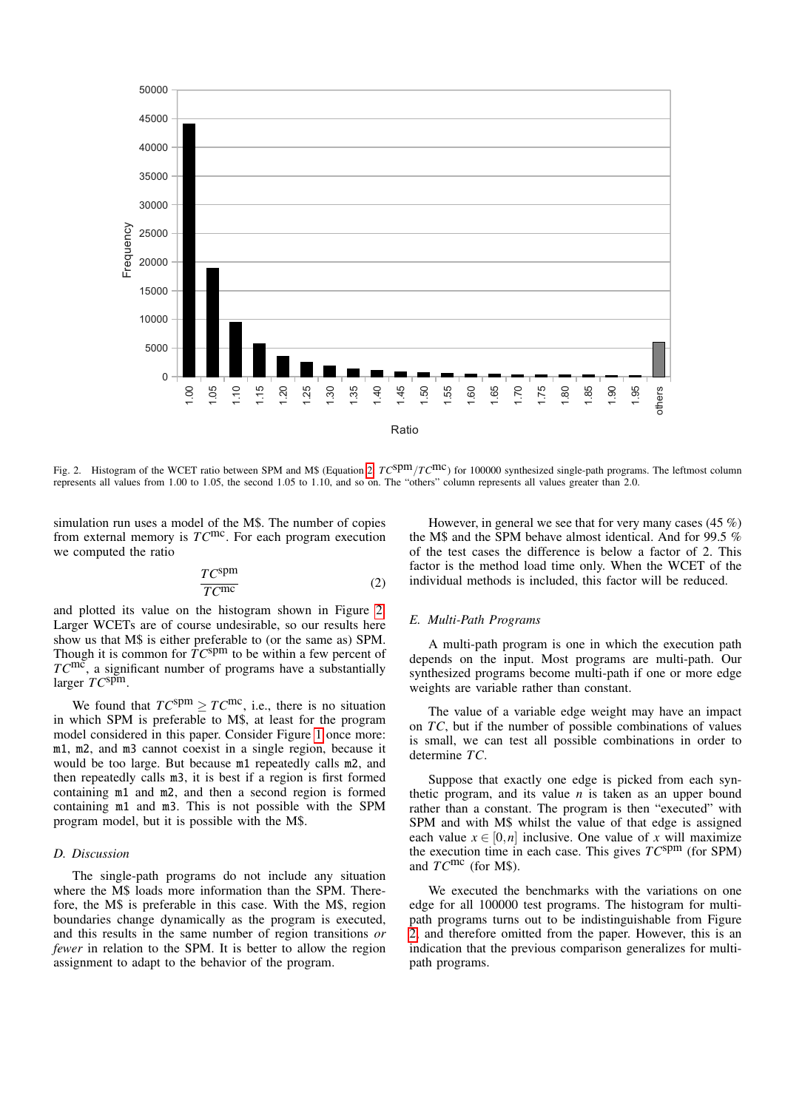

<span id="page-4-0"></span>represents all values from 1.00 to 1.05, the second 1.05 to 1.10, and so on. The "others" column represents all values greater than 2.0. Fig. 2. Histogram of the WCET ratio between SPM and M\$ (Equation [2:](#page-4-1)  $T\epsilon^{Spm}/T\epsilon^{T}$ ) for 100000 synthesized single-path programs. The leftmost column

from external memory is  $TC^{\text{mc}}$ . For each program execution simulation run uses a model of the M\$. The number of copies we computed the ratio

<span id="page-4-1"></span>
$$
\frac{TC^{\text{spm}}}{TC^{\text{mc}}} \tag{2}
$$

Though it is common for  $TC^{spm}$  to be within a few percent of Larger WCETs are of course undesirable, so our results here its<br>Ts<br>M and plotted its value on the histogram shown in Figure [2.](#page-4-0) show us that M\$ is either preferable to (or the same as) SPM. *TC*mc, a significant number of programs have a substantially larger *TC*spm.

would be too large. But because  $m1$  repeatedly calls  $m2$ , and would be too large. But because  $m1$  repeatedly calls  $m2$ , and moder considered in this paper. Consider Figure 1 once more.<br>m1, m2, and m3 cannot coexist in a single region, because it in which SPM is preferable to M\$, at least for the program containing  $m1$  and  $m3$ . This is not possible with the SPM We found that  $TC^{spm} \geq TC^{mc}$ , i.e., there is no situation model considered in this paper. Consider Figure [1](#page-3-0) once more: then repeatedly calls m3, it is best if a region is first formed containing m1 and m2, and then a second region is formed program model, but it is possible with the M\$.

#### *D. Discussion*

---<sub>r</sub> - and this results in the same number of region transitions *or* where the M\$ loads more information than the SPM. There*fewer* in relation to the SPM. It is better to allow the region assignment to adapt to the behavior of the program. The single-path programs do not include any situation fore, the M\$ is preferable in this case. With the M\$, region boundaries change dynamically as the program is executed, assignment to adapt to the behavior of the program.

However, in general we see that for very many cases (45 %) the M\$ and the SPM behave almost identical. And for 99.5 % of the test cases the difference is below a factor of 2. This factor is the method load time only. When the WCET of the individual methods is included, this factor will be reduced.

## *E. Multi-Path Programs*

A multi-path program is one in which the execution path depends on the input. Most programs are multi-path. Our synthesized programs become multi-path if one or more edge weights are variable rather than constant.

determine *TC*. The value of a variable edge weight may have an impact on *TC*, but if the number of possible combinations of values is small, we can test all possible combinations in order to

ermine TC.<br>Suppose that exactly one edge is picked from each synthetic program, and its value  $n$  is taken as an upper bound rather than a constant. The program is then "executed" with SPM and with M\$ whilst the value of that edge is assigned each value  $x \in [0,n]$  inclusive. One value of x will maximize the execution time in each case. This gives *TC*spm (for SPM) and *TC*mc (for M\$).

We executed the benchmarks with the variations on one edge for all 100000 test programs. The histogram for multipath programs turns out to be indistinguishable from Figure [2,](#page-4-0) and therefore omitted from the paper. However, this is an indication that the previous comparison generalizes for multipath programs.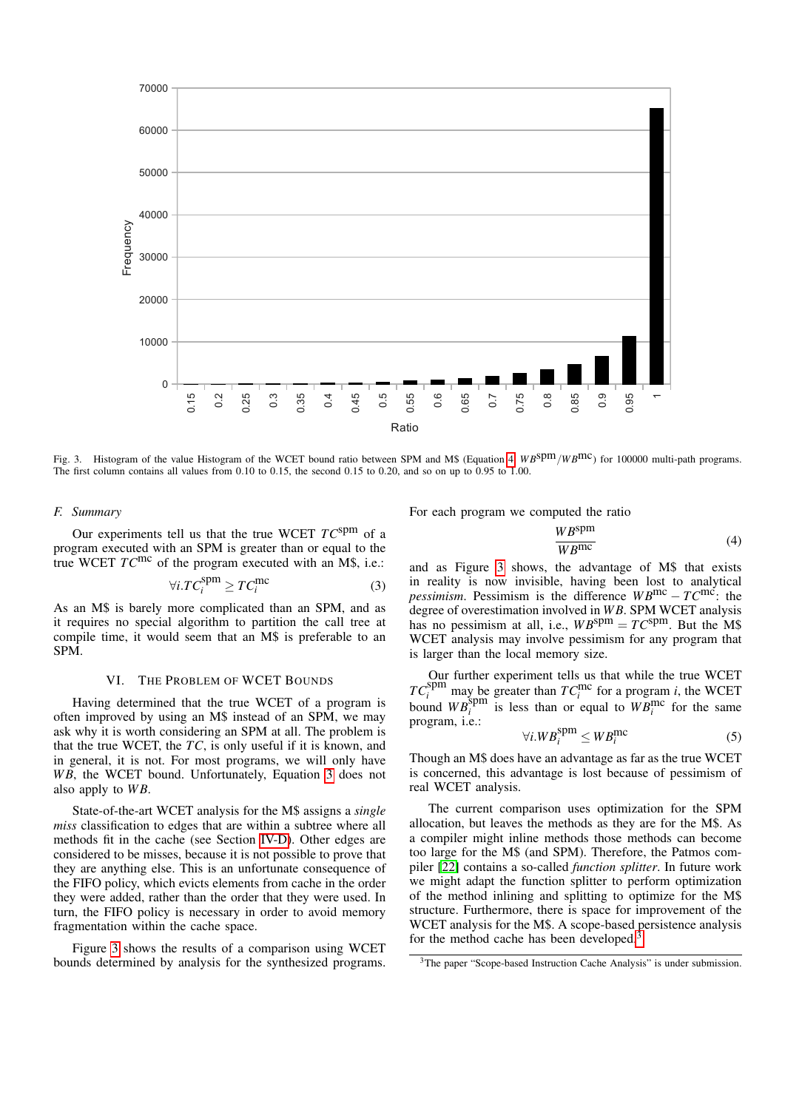

<span id="page-5-3"></span>Fig. 3. Histogram of the value Histogram of the WCET bound ratio between SPM and M\$ (Equation [4:](#page-5-1)  $W B^{Spm}/W B^{mc}$ ) for 100000 multi-path programs. The first column contains all values from 0.10 to 0.15, the second 0.15 to 0.20, and so on up to 0.95 to 1.00.

## *F. Summary*

Our experiments tell us that the true WCET *TC*spm of a program executed with an SPM is greater than or equal to the true WCET *TC*mc of the program executed with an M\$, i.e.:

<span id="page-5-2"></span>
$$
\forall i. TC_i^{\text{spm}} \ge TC_i^{\text{mc}} \tag{3}
$$

As an M\$ is barely more complicated than an SPM, and as it requires no special algorithm to partition the call tree at compile time, it would seem that an M\$ is preferable to an SPM.

## VI. THE PROBLEM OF WCET BOUNDS

<span id="page-5-0"></span>Having determined that the true WCET of a program is often improved by using an M\$ instead of an SPM, we may ask why it is worth considering an SPM at all. The problem is that the true WCET, the *TC*, is only useful if it is known, and in general, it is not. For most programs, we will only have WB, the WCET bound. Unfortunately, Equation [3](#page-5-2) does not also apply to WB.

State-of-the-art WCET analysis for the M\$ assigns a *single miss* classification to edges that are within a subtree where all methods fit in the cache (see Section [IV-D\)](#page-2-2). Other edges are considered to be misses, because it is not possible to prove that they are anything else. This is an unfortunate consequence of the FIFO policy, which evicts elements from cache in the order they were added, rather than the order that they were used. In turn, the FIFO policy is necessary in order to avoid memory fragmentation within the cache space.

Figure [3](#page-5-3) shows the results of a comparison using WCET bounds determined by analysis for the synthesized programs. For each program we computed the ratio

<span id="page-5-1"></span>
$$
\frac{WB^{\text{spm}}}{WB^{\text{mc}}} \tag{4}
$$

and as Figure [3](#page-5-3) shows, the advantage of M\$ that exists in reality is now invisible, having been lost to analytical *pessimism*. Pessimism is the difference  $WB^{\text{mc}} - TC^{\text{mc}}$ : the degree of overestimation involved in *W B*. SPM WCET analysis has no pessimism at all, i.e.,  $WB^{spm} = TC^{spm}$ . But the M\$ WCET analysis may involve pessimism for any program that is larger than the local memory size.

Our further experiment tells us that while the true WCET  $TC_i^{\text{spm}}$  may be greater than  $TC_i^{\text{mc}}$  for a program *i*, the WCET bound  $WB_i^{\text{spm}}$  is less than or equal to  $WB_i^{\text{mc}}$  for the same program, i.e.:

$$
\forall i. WB_i^{\text{spm}} \le WB_i^{\text{mc}} \tag{5}
$$

Though an M\$ does have an advantage as far as the true WCET is concerned, this advantage is lost because of pessimism of real WCET analysis.

The current comparison uses optimization for the SPM allocation, but leaves the methods as they are for the M\$. As a compiler might inline methods those methods can become too large for the M\$ (and SPM). Therefore, the Patmos compiler [\[22\]](#page-7-9) contains a so-called *function splitter*. In future work we might adapt the function splitter to perform optimization of the method inlining and splitting to optimize for the M\$ structure. Furthermore, there is space for improvement of the WCET analysis for the M\$. A scope-based persistence analysis for the method cache has been developed.<sup>[3](#page-5-4)</sup>

<span id="page-5-4"></span><sup>&</sup>lt;sup>3</sup>The paper "Scope-based Instruction Cache Analysis" is under submission.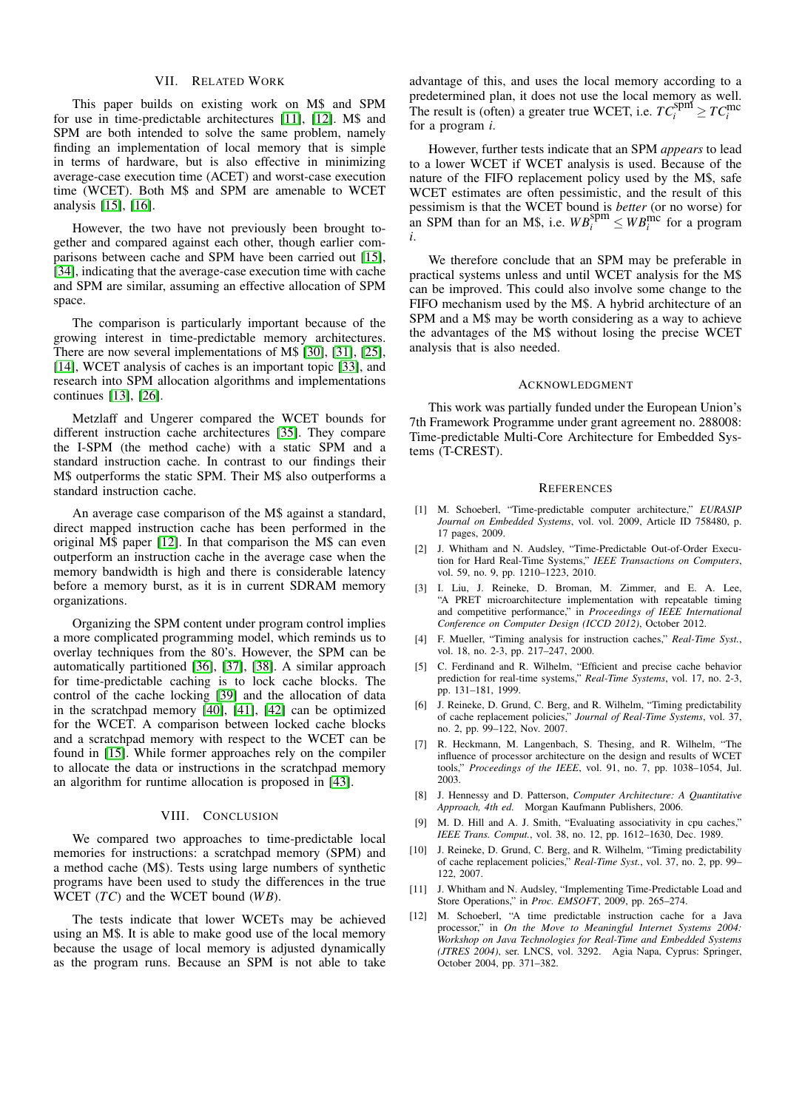### VII. RELATED WORK

<span id="page-6-12"></span>This paper builds on existing work on M\$ and SPM for use in time-predictable architectures [\[11\]](#page-6-10), [\[12\]](#page-6-11). M\$ and SPM are both intended to solve the same problem, namely finding an implementation of local memory that is simple in terms of hardware, but is also effective in minimizing average-case execution time (ACET) and worst-case execution time (WCET). Both M\$ and SPM are amenable to WCET analysis [\[15\]](#page-7-2), [\[16\]](#page-7-3).

However, the two have not previously been brought together and compared against each other, though earlier comparisons between cache and SPM have been carried out [\[15\]](#page-7-2), [\[34\]](#page-7-21), indicating that the average-case execution time with cache and SPM are similar, assuming an effective allocation of SPM space.

The comparison is particularly important because of the growing interest in time-predictable memory architectures. There are now several implementations of M\$ [\[30\]](#page-7-17), [\[31\]](#page-7-18), [\[25\]](#page-7-12), [\[14\]](#page-7-1), WCET analysis of caches is an important topic [\[33\]](#page-7-20), and research into SPM allocation algorithms and implementations continues [\[13\]](#page-7-0), [\[26\]](#page-7-13).

Metzlaff and Ungerer compared the WCET bounds for different instruction cache architectures [\[35\]](#page-7-22). They compare the I-SPM (the method cache) with a static SPM and a standard instruction cache. In contrast to our findings their M\$ outperforms the static SPM. Their M\$ also outperforms a standard instruction cache.

An average case comparison of the M\$ against a standard, direct mapped instruction cache has been performed in the original M\$ paper [\[12\]](#page-6-11). In that comparison the M\$ can even outperform an instruction cache in the average case when the memory bandwidth is high and there is considerable latency before a memory burst, as it is in current SDRAM memory organizations.

Organizing the SPM content under program control implies a more complicated programming model, which reminds us to overlay techniques from the 80's. However, the SPM can be automatically partitioned [\[36\]](#page-7-23), [\[37\]](#page-7-24), [\[38\]](#page-7-25). A similar approach for time-predictable caching is to lock cache blocks. The control of the cache locking [\[39\]](#page-7-26) and the allocation of data in the scratchpad memory [\[40\]](#page-7-27), [\[41\]](#page-7-28), [\[42\]](#page-7-29) can be optimized for the WCET. A comparison between locked cache blocks and a scratchpad memory with respect to the WCET can be found in [\[15\]](#page-7-2). While former approaches rely on the compiler to allocate the data or instructions in the scratchpad memory an algorithm for runtime allocation is proposed in [\[43\]](#page-7-30).

## VIII. CONCLUSION

<span id="page-6-13"></span>We compared two approaches to time-predictable local memories for instructions: a scratchpad memory (SPM) and a method cache (M\$). Tests using large numbers of synthetic programs have been used to study the differences in the true WCET (*TC*) and the WCET bound (*W B*).

The tests indicate that lower WCETs may be achieved using an M\$. It is able to make good use of the local memory because the usage of local memory is adjusted dynamically as the program runs. Because an SPM is not able to take

advantage of this, and uses the local memory according to a predetermined plan, it does not use the local memory as well. The result is (often) a greater true WCET, i.e.  $TC_i^{\text{spm}} \geq TC_i^{\text{mc}}$ for a program *i*.

However, further tests indicate that an SPM *appears* to lead to a lower WCET if WCET analysis is used. Because of the nature of the FIFO replacement policy used by the M\$, safe WCET estimates are often pessimistic, and the result of this pessimism is that the WCET bound is *better* (or no worse) for an SPM than for an M\$, i.e.  $WB_i^{\text{spm}} \leq WB_i^{\text{mc}}$  for a program *i*.

We therefore conclude that an SPM may be preferable in practical systems unless and until WCET analysis for the M\$ can be improved. This could also involve some change to the FIFO mechanism used by the M\$. A hybrid architecture of an SPM and a M\$ may be worth considering as a way to achieve the advantages of the M\$ without losing the precise WCET analysis that is also needed.

### ACKNOWLEDGMENT

This work was partially funded under the European Union's 7th Framework Programme under grant agreement no. 288008: Time-predictable Multi-Core Architecture for Embedded Systems (T-CREST).

#### **REFERENCES**

- <span id="page-6-0"></span>[1] M. Schoeberl, "Time-predictable computer architecture," *EURASIP Journal on Embedded Systems*, vol. vol. 2009, Article ID 758480, p. 17 pages, 2009.
- <span id="page-6-1"></span>[2] J. Whitham and N. Audsley, "Time-Predictable Out-of-Order Execution for Hard Real-Time Systems," *IEEE Transactions on Computers*, vol. 59, no. 9, pp. 1210–1223, 2010.
- <span id="page-6-2"></span>[3] I. Liu, J. Reineke, D. Broman, M. Zimmer, and E. A. Lee, "A PRET microarchitecture implementation with repeatable timing and competitive performance," in *Proceedings of IEEE International Conference on Computer Design (ICCD 2012)*, October 2012.
- <span id="page-6-3"></span>[4] F. Mueller, "Timing analysis for instruction caches," *Real-Time Syst.*, vol. 18, no. 2-3, pp. 217–247, 2000.
- <span id="page-6-4"></span>[5] C. Ferdinand and R. Wilhelm, "Efficient and precise cache behavior prediction for real-time systems," *Real-Time Systems*, vol. 17, no. 2-3, pp. 131–181, 1999.
- <span id="page-6-5"></span>[6] J. Reineke, D. Grund, C. Berg, and R. Wilhelm, "Timing predictability of cache replacement policies," *Journal of Real-Time Systems*, vol. 37, no. 2, pp. 99–122, Nov. 2007.
- <span id="page-6-6"></span>[7] R. Heckmann, M. Langenbach, S. Thesing, and R. Wilhelm, "The influence of processor architecture on the design and results of WCET tools," *Proceedings of the IEEE*, vol. 91, no. 7, pp. 1038–1054, Jul. 2003.
- <span id="page-6-7"></span>[8] J. Hennessy and D. Patterson, *Computer Architecture: A Quantitative Approach, 4th ed.* Morgan Kaufmann Publishers, 2006.
- <span id="page-6-8"></span>[9] M. D. Hill and A. J. Smith, "Evaluating associativity in cpu caches," *IEEE Trans. Comput.*, vol. 38, no. 12, pp. 1612–1630, Dec. 1989.
- <span id="page-6-9"></span>[10] J. Reineke, D. Grund, C. Berg, and R. Wilhelm, "Timing predictability of cache replacement policies," *Real-Time Syst.*, vol. 37, no. 2, pp. 99– 122, 2007.
- <span id="page-6-10"></span>[11] J. Whitham and N. Audsley, "Implementing Time-Predictable Load and Store Operations," in *Proc. EMSOFT*, 2009, pp. 265–274.
- <span id="page-6-11"></span>[12] M. Schoeberl, "A time predictable instruction cache for a Java processor," in *On the Move to Meaningful Internet Systems 2004: Workshop on Java Technologies for Real-Time and Embedded Systems (JTRES 2004)*, ser. LNCS, vol. 3292. Agia Napa, Cyprus: Springer, October 2004, pp. 371–382.